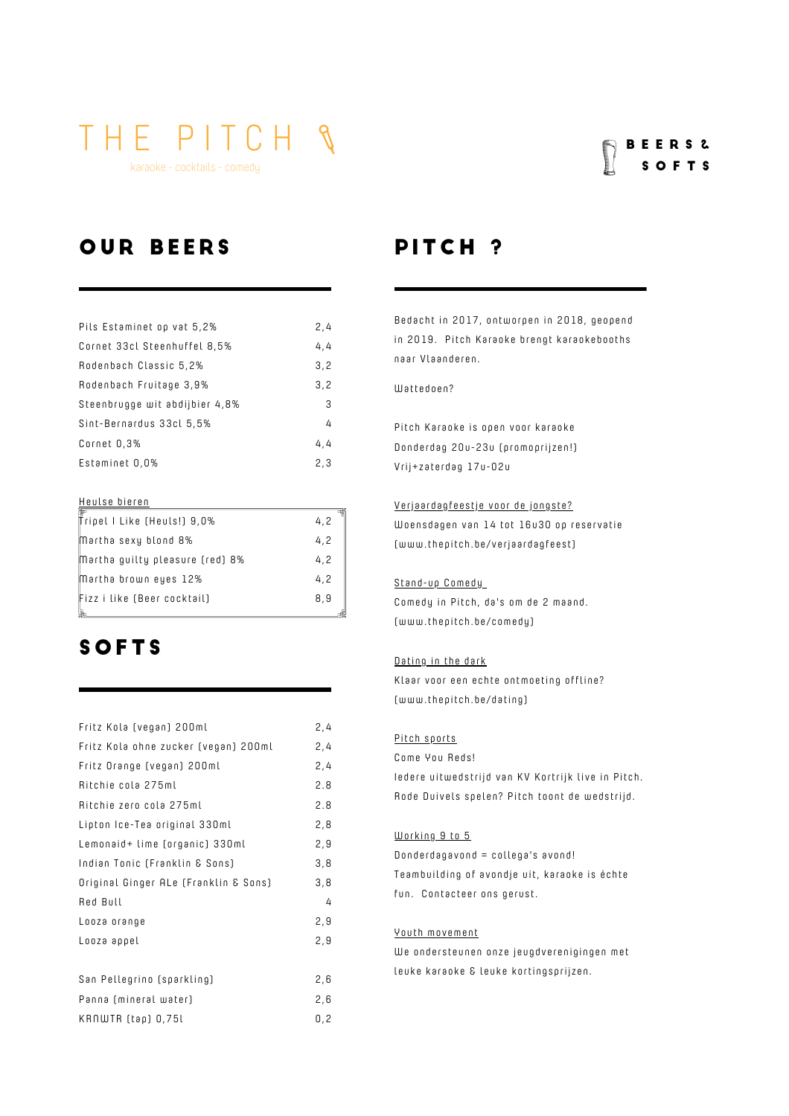karaoke - cocktails - comedy

#### B E E R S & S O F T S

### OUR BEERS PITCH?

| Pils Estaminet op vat 5,2%     | 2,4 |
|--------------------------------|-----|
| Cornet 33cl Steenhuffel 8,5%   | 4.4 |
| Rodenbach Classic 5,2%         | 3.2 |
| Rodenbach Fruitage 3,9%        | 3,2 |
| Steenbrugge wit abdijbier 4,8% | 3   |
| Sint-Bernardus 33cl 5,5%       | 4   |
| Cornet 0,3%                    | 4.4 |
| Estaminet 0,0%                 | 2,3 |
|                                |     |

#### Heulse bieren

| Tripel I Like (Heuls!) 9,0%     | 4.2 |
|---------------------------------|-----|
| Martha sexy blond 8%            | 4.2 |
| Martha guilty pleasure (red) 8% | 4.2 |
| Martha brown eyes 12%           | 4.2 |
| Fizz i like (Beer cocktail)     | 8.9 |

#### **SOFTS**

| Fritz Kola (vegan) 200ml              | 2,4 |
|---------------------------------------|-----|
| Fritz Kola ohne zucker (vegan) 200ml  | 2,4 |
| Fritz Orange (vegan) 200ml            | 2,4 |
| Ritchie cola 275ml                    | 2.8 |
| Ritchie zero cola 275ml               | 2.8 |
| Lipton Ice-Tea original 330ml         | 2,8 |
| Lemonaid+ lime (organic) 330ml        | 2,9 |
| Indian Tonic (Franklin & Sons)        | 3,8 |
| Original Ginger ALe (Franklin & Sons) | 3,8 |
| Red Bull                              | 4   |
| Looza orange                          | 2,9 |
| Looza appel                           | 2,9 |
|                                       |     |
| San Pellegrino (sparkling)            | 2,6 |
| Panna (mineral water)                 | 2,6 |
| KRNWTR (tap) 0,75l                    | 0,2 |

Bedacht in 2017, ontworpen in 2018, geopend in 2019. Pitch Karaoke brengt karaokebooths naar Vlaanderen.

#### Wattedoen?

Pitch Karaoke is open voor karaoke Donderdag 20u-23u (promoprijzen!) Vrij+zaterdag 17u-02u

#### Verjaardagfeestje voor de jongste?

Woensdagen van 14 tot 16u30 op reservatie (www.thepitch.be/verjaardagfees t)

#### Stand-up Comedy

Comedy in Pitch, da's om de 2 maand. (www.thepitch.be/comedy)

#### Dating in the dark

Klaar voor een echte ontmoeting offline? (www.thepitch.be/dating)

#### Pitch sports

Come You Reds! Iedere uitweds trijd van KV Kortrijk live in Pitch. Rode Duivels spelen? Pitch toont de wedstrijd.

#### Working 9 to 5

 $Donderdagavond = college's avoid!$ Teambuilding of avondje uit, karaoke is échte fun. Contacteer ons gerust.

#### Youth movement

We ondersteunen onze jeugdverenigingen met leuke karaoke & leuke kortingsprijzen.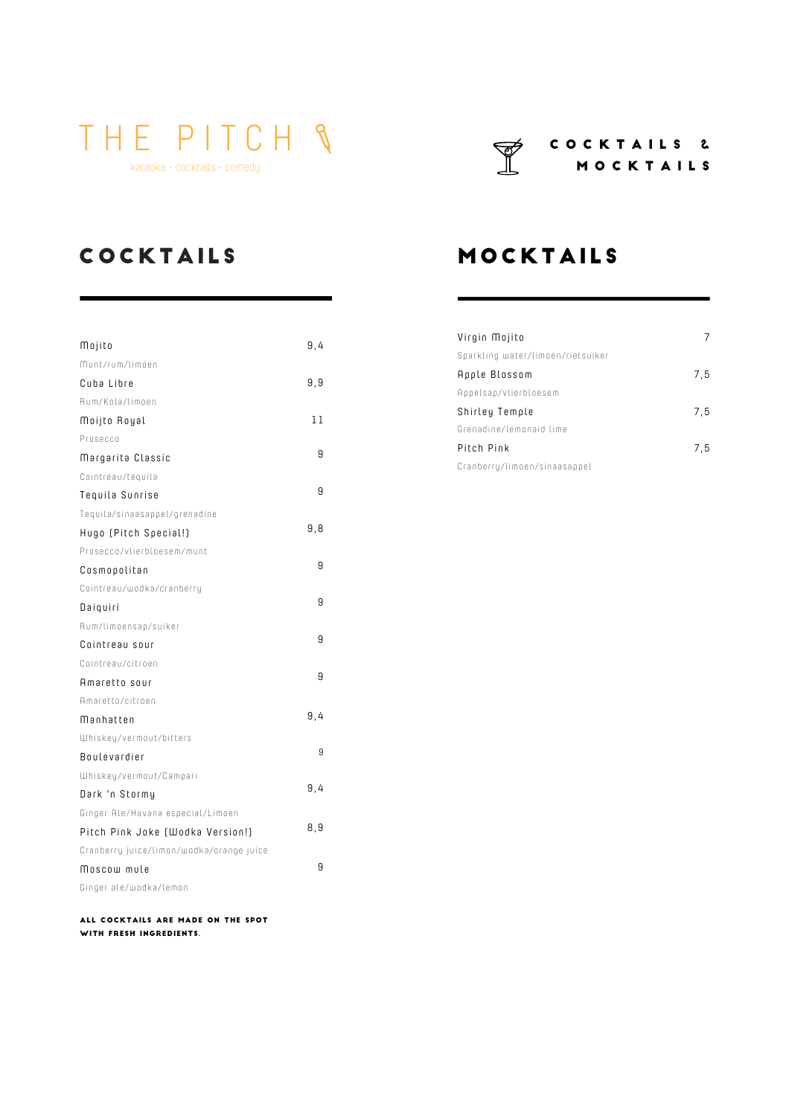karaoke - cocktails - comedy

#### C O C K T A I L S & M O C K T A I L S

### **COCKTAILS**

| Mojito                                   | 9,4 |
|------------------------------------------|-----|
| Munt/rum/limoen                          |     |
| Cuba Libre                               | 9,9 |
| Rum/Kola/limoen                          |     |
| Moijto Royal                             | 11  |
| Prosecco                                 |     |
| Margarita Classic                        | 9   |
| Cointreau/tequila                        |     |
| Tequila Sunrise                          | 9   |
| Tequila/sinaasappel/grenadine            |     |
| Hugo (Pitch Special!)                    | 9,8 |
| Prosecco/vlierbloesem/munt               |     |
| Cosmopolitan                             | 9   |
| Cointreau/wodka/cranberry                |     |
| Daiquiri                                 | 9   |
| Rum/limoensap/suiker                     |     |
| Cointreau sour                           | 9   |
| Cointreau/citroen                        |     |
| Amaretto sour                            | 9   |
| Amaretto/citroen                         |     |
| Mənhətten                                | 9,4 |
| Whiskey/vermout/bitters                  |     |
| Boulevardier                             | 9   |
| Whiskey/vermout/Campari                  |     |
| Dark 'n Stormy                           | 9,4 |
| Ginger Ale/Havana especial/Limoen        |     |
| Pitch Pink Joke (Wodka Version!)         | 8,9 |
| Cranberry juice/limon/wodka/orange juice |     |
| Moscow mule                              | 9   |
| Ginger ale/wodka/lemon                   |     |

All cocktails are made on the spot with fresh ingredients.

### **MOCKTAILS**

| Virgin Mojito                     |     |
|-----------------------------------|-----|
| Sparkling water/limoen/rietsuiker |     |
| Apple Blossom                     | 7,5 |
| Appelsap/vlierbloesem             |     |
| Shirley Temple                    | 7.5 |
| Grenadine/Lemonaid lime           |     |
| Pitch Pink                        | 7.5 |
| Cranberry/limoen/sinaasappel      |     |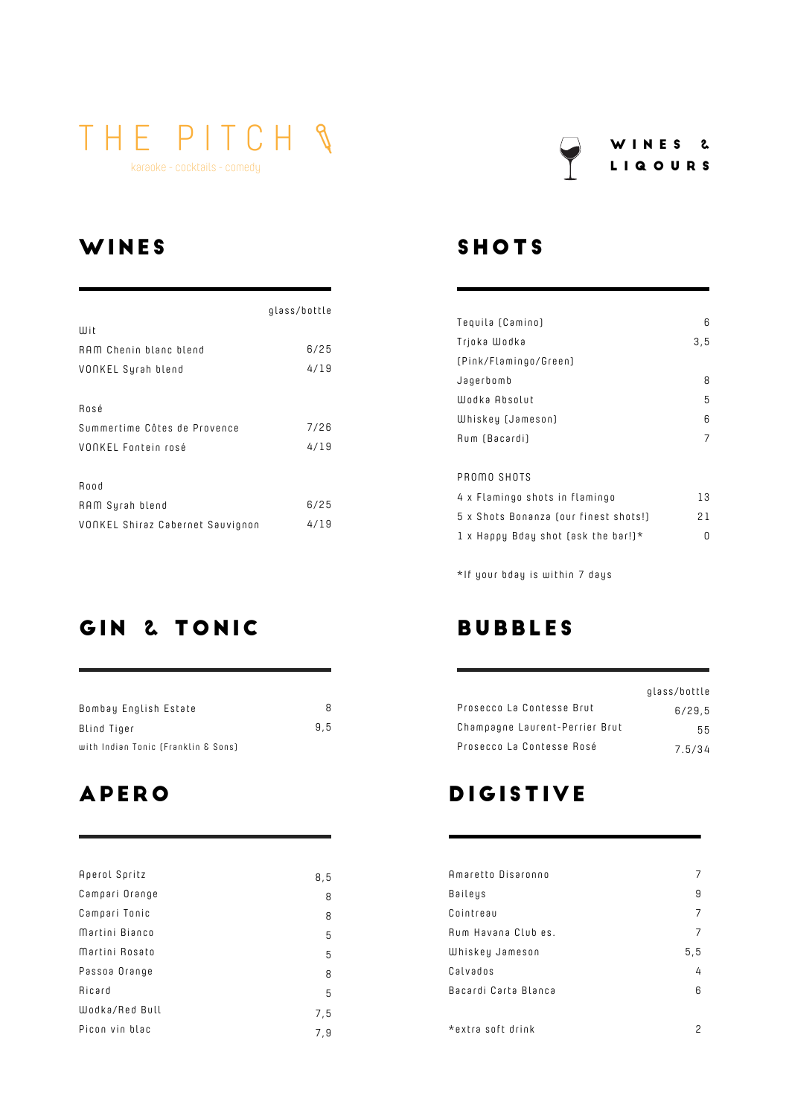karaoke - cocktails - comedy

### **WINES**

|                                  | glass/bottle |
|----------------------------------|--------------|
| Wit                              |              |
| RAM Chenin blanc blend           | 6/25         |
| VONKEL Syrah blend               | 4/19         |
|                                  |              |
| Rosé                             |              |
| Summertime Côtes de Provence     | 7/26         |
| VONKEL Fontein rosé              | 4/19         |
|                                  |              |
| Rood                             |              |
| RAM Syrah blend                  | 6/25         |
| VONKEL Shiraz Cabernet Sauvignon | 4/19         |

### GIN & TONIC

| Bombay English Estate               | 8   |
|-------------------------------------|-----|
| Blind Tiger                         | 9.5 |
| with Indian Tonic (Franklin & Sons) |     |

## **APERO**

| Aperol Spritz  | 8,5 |
|----------------|-----|
| Campari Orange | 8   |
| Campari Tonic  | 8   |
| Martini Bianco | 5   |
| Martini Rosato | 5   |
| Passoa Orange  | 8   |
| Ricard         | 5   |
| Wodka/Red Bull | 7,5 |
| Picon vin blac | 7,9 |

### **SHOTS**

| Tequila (Camino)                      | 6   |
|---------------------------------------|-----|
| Trjoka Wodka                          | 3,5 |
| [Pink/Flamingo/Green]                 |     |
| Jagerbomb                             | 8   |
| Wodka Absolut                         | 5   |
| Whiskey (Jameson)                     | 6   |
| Rum (Bacardi)                         | 7   |
|                                       |     |
| PROMO SHOTS                           |     |
| 4 x Flamingo shots in flamingo        | 13  |
| 5 x Shots Bonanza (our finest shots!) | 21  |
| 1 x Happy Bday shot (ask the bar!)*   | U   |
|                                       |     |

 $*$ If your bday is within 7 days

### **BUBBLES**

|                                | glass/bottle |
|--------------------------------|--------------|
| Prosecco La Contesse Brut      | 6/29.5       |
| Champagne Laurent-Perrier Brut | 55.          |
| Prosecco La Contesse Rosé      | 7.5/34       |

### DIGISTIVE

| Amaretto Disaronno   |      |
|----------------------|------|
| Baileys              | 9    |
| Cointreau            | 7    |
| Rum Havana Club es.  | 7    |
| Whiskey Jameson      | 5, 5 |
| Calvados             | 4    |
| Bacardi Carta Blanca | 6    |
|                      |      |
| *extra soft drink    | 2    |

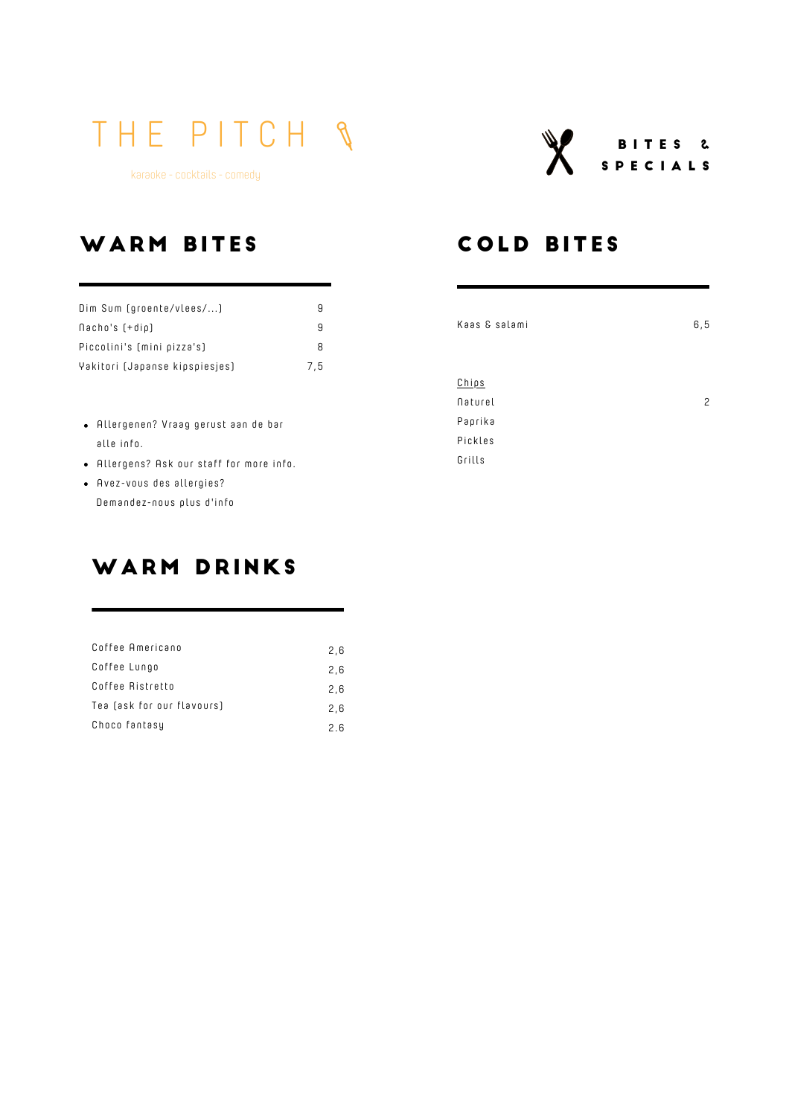karaoke - cocktails - comedy



### WARM BITES

| Dim Sum (groente/vlees/)       | 9   |
|--------------------------------|-----|
| $\Lambda$ acho's $[+dip]$      | я   |
| Piccolini's (mini pizza's)     | 8   |
| Yakitori (Japanse kipspiesjes) | 7.5 |

- $\bullet$  Allergenen? Vraag gerust aan de bar alle info.
- Allergens? Ask our staff for more info.
- Avez-vous des allergies? Demandez -nous plus d'info

### WARM DRINKS

| Coffee Americano           | 2.6 |
|----------------------------|-----|
| Coffee Lungo               | 2.6 |
| Coffee Ristretto           | 2.6 |
| Tea (ask for our flavours) | 2.6 |
| Choco fantasy              | 2 R |

### **COLD BITES**

| Kaas & salami | 6, 5 |
|---------------|------|
|               |      |
|               |      |
| <u>Chips</u>  |      |
| Naturel       | 2    |
| Paprika       |      |
| Pickles       |      |
| Grills        |      |